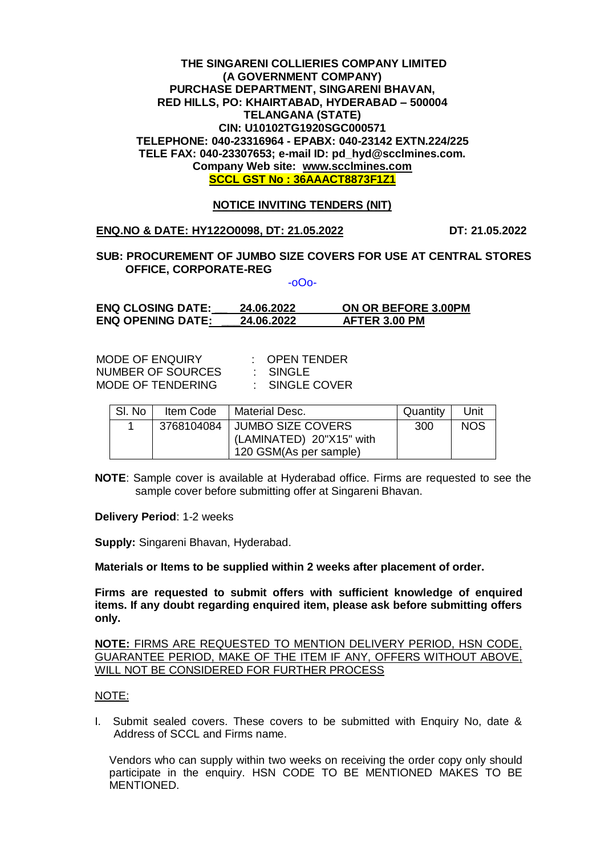#### **THE SINGARENI COLLIERIES COMPANY LIMITED (A GOVERNMENT COMPANY) PURCHASE DEPARTMENT, SINGARENI BHAVAN, RED HILLS, PO: KHAIRTABAD, HYDERABAD – 500004 TELANGANA (STATE) CIN: U10102TG1920SGC000571 TELEPHONE: 040-23316964 - EPABX: 040-23142 EXTN.224/225 TELE FAX: 040-23307653; e-mail ID: pd\_hyd@scclmines.com. Company Web site: [www.scclmines.com](http://www.scclmines.com/) SCCL GST No : 36AAACT8873F1Z1**

## **NOTICE INVITING TENDERS (NIT)**

**ENQ.NO & DATE: HY122O0098, DT: 21.05.2022 DT: 21.05.2022**

# **SUB: PROCUREMENT OF JUMBO SIZE COVERS FOR USE AT CENTRAL STORES OFFICE, CORPORATE-REG**

-oOo-

**ENQ CLOSING DATE: \_\_ 24.06.2022 ON OR BEFORE 3.00PM ENQ OPENING DATE: \_\_\_24.06.2022 AFTER 3.00 PM**

MODE OF ENQUIRY : OPEN TENDER<br>NUMBER OF SOURCES : SINGLE NUMBER OF SOURCES MODE OF TENDERING : SINGLE COVER

| SI. No | Item Code | <b>Material Desc.</b>          | Quantity | Unit       |
|--------|-----------|--------------------------------|----------|------------|
|        |           | 3768104084   JUMBO SIZE COVERS | 300      | <b>NOS</b> |
|        |           | (LAMINATED) 20"X15" with       |          |            |
|        |           | 120 GSM(As per sample)         |          |            |

**NOTE**: Sample cover is available at Hyderabad office. Firms are requested to see the sample cover before submitting offer at Singareni Bhavan.

**Delivery Period**: 1-2 weeks

**Supply:** Singareni Bhavan, Hyderabad.

**Materials or Items to be supplied within 2 weeks after placement of order.**

**Firms are requested to submit offers with sufficient knowledge of enquired items. If any doubt regarding enquired item, please ask before submitting offers only.** 

**NOTE:** FIRMS ARE REQUESTED TO MENTION DELIVERY PERIOD, HSN CODE, GUARANTEE PERIOD, MAKE OF THE ITEM IF ANY, OFFERS WITHOUT ABOVE, WILL NOT BE CONSIDERED FOR FURTHER PROCESS

#### NOTE:

I. Submit sealed covers. These covers to be submitted with Enquiry No, date & Address of SCCL and Firms name.

Vendors who can supply within two weeks on receiving the order copy only should participate in the enquiry. HSN CODE TO BE MENTIONED MAKES TO BE MENTIONED.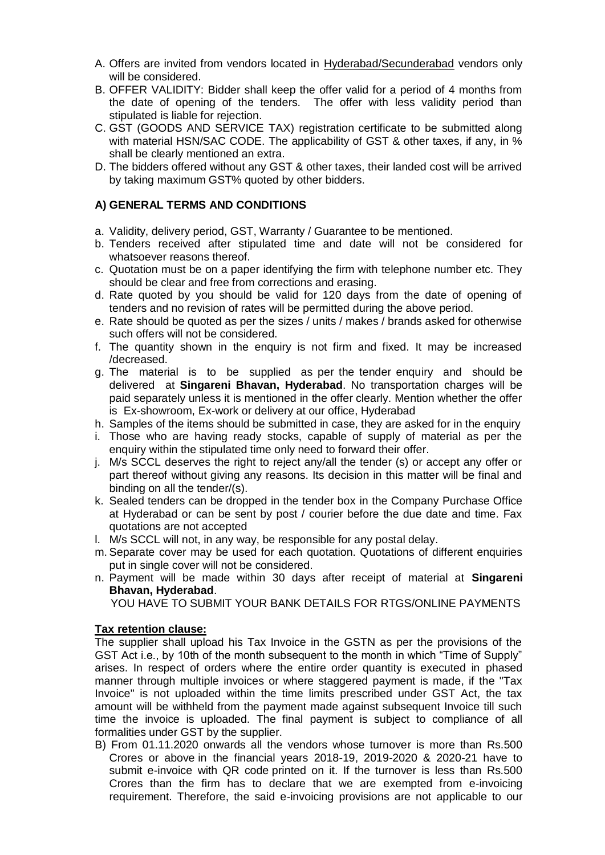- A. Offers are invited from vendors located in Hyderabad/Secunderabad vendors only will be considered.
- B. OFFER VALIDITY: Bidder shall keep the offer valid for a period of 4 months from the date of opening of the tenders. The offer with less validity period than stipulated is liable for rejection.
- C. GST (GOODS AND SERVICE TAX) registration certificate to be submitted along with material HSN/SAC CODE. The applicability of GST & other taxes, if any, in % shall be clearly mentioned an extra.
- D. The bidders offered without any GST & other taxes, their landed cost will be arrived by taking maximum GST% quoted by other bidders.

# **A) GENERAL TERMS AND CONDITIONS**

- a. Validity, delivery period, GST, Warranty / Guarantee to be mentioned.
- b. Tenders received after stipulated time and date will not be considered for whatsoever reasons thereof.
- c. Quotation must be on a paper identifying the firm with telephone number etc. They should be clear and free from corrections and erasing.
- d. Rate quoted by you should be valid for 120 days from the date of opening of tenders and no revision of rates will be permitted during the above period.
- e. Rate should be quoted as per the sizes / units / makes / brands asked for otherwise such offers will not be considered.
- f. The quantity shown in the enquiry is not firm and fixed. It may be increased /decreased.
- g. The material is to be supplied as per the tender enquiry and should be delivered at **Singareni Bhavan, Hyderabad**. No transportation charges will be paid separately unless it is mentioned in the offer clearly. Mention whether the offer is Ex-showroom, Ex-work or delivery at our office, Hyderabad
- h. Samples of the items should be submitted in case, they are asked for in the enquiry
- i. Those who are having ready stocks, capable of supply of material as per the enquiry within the stipulated time only need to forward their offer.
- j. M/s SCCL deserves the right to reject any/all the tender (s) or accept any offer or part thereof without giving any reasons. Its decision in this matter will be final and binding on all the tender/(s).
- k. Sealed tenders can be dropped in the tender box in the Company Purchase Office at Hyderabad or can be sent by post / courier before the due date and time. Fax quotations are not accepted
- l. M/s SCCL will not, in any way, be responsible for any postal delay.
- m. Separate cover may be used for each quotation. Quotations of different enquiries put in single cover will not be considered.
- n. Payment will be made within 30 days after receipt of material at **Singareni Bhavan, Hyderabad**.

YOU HAVE TO SUBMIT YOUR BANK DETAILS FOR RTGS/ONLINE PAYMENTS

## **Tax retention clause:**

The supplier shall upload his Tax Invoice in the GSTN as per the provisions of the GST Act i.e., by 10th of the month subsequent to the month in which "Time of Supply" arises. In respect of orders where the entire order quantity is executed in phased manner through multiple invoices or where staggered payment is made, if the "Tax Invoice" is not uploaded within the time limits prescribed under GST Act, the tax amount will be withheld from the payment made against subsequent Invoice till such time the invoice is uploaded. The final payment is subject to compliance of all formalities under GST by the supplier.

B) From 01.11.2020 onwards all the vendors whose turnover is more than Rs.500 Crores or above in the financial years 2018-19, 2019-2020 & 2020-21 have to submit e-invoice with QR code printed on it. If the turnover is less than Rs.500 Crores than the firm has to declare that we are exempted from e-invoicing requirement. Therefore, the said e-invoicing provisions are not applicable to our